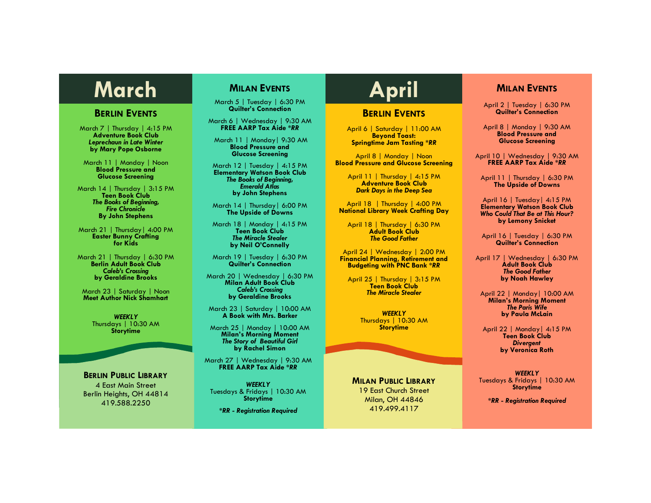# **March MILAN EVENTS April**

### **BERLIN EVENTS**

March 7 | Thursday | 4:15 PM **Adventure Book Club** *Leprechaun in Late Winter* **by Mary Pope Osborne**

March 11 | Monday | Noon **Blood Pressure and Glucose Screening**

March 14 | Thursday | 3:15 PM **Teen Book Club** *The Books of Beginning, Fire Chronicle* **By John Stephens**

March 21 | Thursday| 4:00 PM **Easter Bunny Crafting for Kids**

March 21 | Thursday | 6:30 PM **Berlin Adult Book Club** *Caleb's Crossing* **by Geraldine Brooks**

March 23 | Saturday | Noon **Meet Author Nick Shamhart** 

> *WEEKLY* Thursdays | 10:30 AM **Storytime**

**BERLIN PUBLIC LIBRARY**

4 East Main Street Berlin Heights, OH 44814 419.588.2250

# **MILAN EVENTS**

March 5 | Tuesday | 6:30 PM **Quilter's Connection**

March 6 | Wednesday | 9:30 AM **FREE AARP Tax Aide** *\*RR*

March 11 | Monday| 9:30 AM **Blood Pressure and Glucose Screening**

March 12 | Tuesday | 4:15 PM **Elementary Watson Book Club** *The Books of Beginning, Emerald Atlas* **by John Stephens**

March 14 | Thursday| 6:00 PM **The Upside of Downs**

March 18 | Monday | 4:15 PM **Teen Book Club** *The Miracle Stealer* **by Neil O'Connelly**

March 19 | Tuesday | 6:30 PM **Quilter's Connection**

March 20 | Wednesday | 6:30 PM **Milan Adult Book Club** *Caleb's Crossing* **by Geraldine Brooks**

March 23 | Saturday | 10:00 AM **A Book with Mrs. Barker**

March 25 | Monday | 10:00 AM **Milan's Morning Moment** *The Story of Beautiful Girl* **by Rachel Simon**

March 27 | Wednesday | 9:30 AM **FREE AARP Tax Aide** *\*RR*

*WEEKLY* Tuesdays & Fridays | 10:30 AM **Storytime**

*\*RR - Registration Required*

#### **BERLIN EVENTS**

April 6 | Saturday | 11:00 AM **Beyond Toast: Springtime Jam Tasting** *\*RR*

April 8 | Monday | Noon **Blood Pressure and Glucose Screening** 

> April 11 | Thursday | 4:15 PM **Adventure Book Club** *Dark Days in the Deep Sea*

April 18 | Thursday | 4:00 PM **National Library Week Crafting Day**

April 18 | Thursday | 6:30 PM **Adult Book Club** *The Good Father*

April 24 | Wednesday | 2:00 PM **Financial Planning, Retirement and Budgeting with PNC Bank \****RR*

April 25 | Thursday | 3:15 PM **Teen Book Club** *The Miracle Stealer*

> *WEEKLY* Thursdays | 10:30 AM **Storytime**

**MILAN PUBLIC LIBRARY** 19 East Church Street Milan, OH 44846 419.499.4117

## **MILAN EVENTS**

April 2 | Tuesday | 6:30 PM **Quilter's Connection** 

April 8 | Monday | 9:30 AM **Blood Pressure and Glucose Screening**

April 10 | Wednesday | 9:30 AM **FREE AARP Tax Aide** *\*RR*

April 11 | Thursday | 6:30 PM **The Upside of Downs**

April 16 | Tuesday| 4:15 PM **Elementary Watson Book Club** *Who Could That Be at This Hour?* **by Lemony Snicket**

April 16 | Tuesday | 6:30 PM **Quilter's Connection**

April 17 | Wednesday | 6:30 PM **Adult Book Club** *The Good Father* **by Noah Hawley**

April 22 | Monday| 10:00 AM **Milan's Morning Moment** *The Paris Wife* **by Paula McLain**

April 22 | Monday| 4:15 PM **Teen Book Club** *Divergent*  **by Veronica Roth**

*WEEKLY* Tuesdays & Fridays | 10:30 AM **Storytime**

*\*RR - Registration Required*